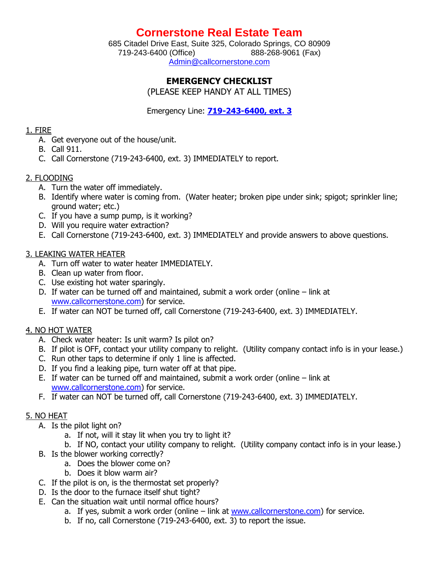## **Cornerstone Real Estate Team**

685 Citadel Drive East, Suite 325, Colorado Springs, CO 80909 719-243-6400 (Office) 888-268-9061 (Fax) [Admin@callcornerstone.com](mailto:Admin@callcornerstone.com)

## **EMERGENCY CHECKLIST**

(PLEASE KEEP HANDY AT ALL TIMES)

Emergency Line: **719-243-6400, ext. 3**

#### 1. FIRE

- A. Get everyone out of the house/unit.
- B. Call 911.
- C. Call Cornerstone (719-243-6400, ext. 3) IMMEDIATELY to report.

## 2. FLOODING

- A. Turn the water off immediately.
- B. Identify where water is coming from. (Water heater; broken pipe under sink; spigot; sprinkler line; ground water; etc.)
- C. If you have a sump pump, is it working?
- D. Will you require water extraction?
- E. Call Cornerstone (719-243-6400, ext. 3) IMMEDIATELY and provide answers to above questions.

## 3. LEAKING WATER HEATER

- A. Turn off water to water heater IMMEDIATELY.
- B. Clean up water from floor.
- C. Use existing hot water sparingly.
- D. If water can be turned off and maintained, submit a work order (online link at [www.callcornerstone.com\)](http://www.callcornerstone.com/) for service.
- E. If water can NOT be turned off, call Cornerstone (719-243-6400, ext. 3) IMMEDIATELY.

## 4. NO HOT WATER

- A. Check water heater: Is unit warm? Is pilot on?
- B. If pilot is OFF, contact your utility company to relight. (Utility company contact info is in your lease.)
- C. Run other taps to determine if only 1 line is affected.
- D. If you find a leaking pipe, turn water off at that pipe.
- E. If water can be turned off and maintained, submit a work order (online link at [www.callcornerstone.com\)](http://www.callcornerstone.com/) for service.
- F. If water can NOT be turned off, call Cornerstone (719-243-6400, ext. 3) IMMEDIATELY.

## 5. NO HEAT

- A. Is the pilot light on?
	- a. If not, will it stay lit when you try to light it?
	- b. If NO, contact your utility company to relight. (Utility company contact info is in your lease.)
- B. Is the blower working correctly?
	- a. Does the blower come on?
	- b. Does it blow warm air?
- C. If the pilot is on, is the thermostat set properly?
- D. Is the door to the furnace itself shut tight?
- E. Can the situation wait until normal office hours?
	- a. If yes, submit a work order (online link at [www.callcornerstone.com\)](http://www.callcornerstone.com/) for service.
	- b. If no, call Cornerstone (719-243-6400, ext. 3) to report the issue.